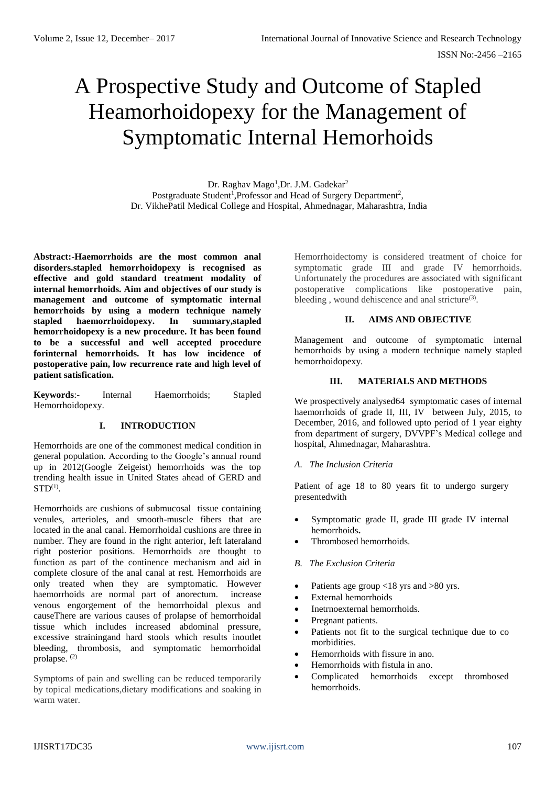ISSN No:-2456 –2165

# A Prospective Study and Outcome of Stapled Heamorhoidopexy for the Management of Symptomatic Internal Hemorhoids

Dr. Raghav Mago<sup>1</sup>, Dr. J.M. Gadekar<sup>2</sup> Postgraduate Student<sup>1</sup>, Professor and Head of Surgery Department<sup>2</sup>, Dr. VikhePatil Medical College and Hospital, Ahmednagar, Maharashtra, India

**Abstract:-Haemorrhoids are the most common anal disorders.stapled hemorrhoidopexy is recognised as effective and gold standard treatment modality of internal hemorrhoids. Aim and objectives of our study is management and outcome of symptomatic internal hemorrhoids by using a modern technique namely stapled haemorrhoidopexy. In summary,stapled hemorrhoidopexy is a new procedure. It has been found to be a successful and well accepted procedure forinternal hemorrhoids. It has low incidence of postoperative pain, low recurrence rate and high level of patient satisfication.**

**Keywords**:- Internal Haemorrhoids; Stapled Hemorrhoidopexy.

# **I. INTRODUCTION**

Hemorrhoids are one of the commonest medical condition in general population. According to the Google's annual round up in 2012(Google Zeigeist) hemorrhoids was the top trending health issue in United States ahead of GERD and  $STD<sup>(1)</sup>$ .

Hemorrhoids are cushions of submucosal tissue containing venules, arterioles, and smooth-muscle fibers that are located in the anal canal. Hemorrhoidal cushions are three in number. They are found in the right anterior, left lateraland right posterior positions. Hemorrhoids are thought to function as part of the continence mechanism and aid in complete closure of the anal canal at rest. Hemorrhoids are only treated when they are symptomatic. However haemorrhoids are normal part of anorectum. increase venous engorgement of the hemorrhoidal plexus and causeThere are various causes of prolapse of hemorrhoidal tissue which includes increased abdominal pressure, excessive strainingand hard stools which results inoutlet bleeding, thrombosis, and symptomatic hemorrhoidal prolapse.<sup>(2)</sup>

Symptoms of pain and swelling can be reduced temporarily by topical medications,dietary modifications and soaking in warm water.

Hemorrhoidectomy is considered treatment of choice for symptomatic grade III and grade IV hemorrhoids. Unfortunately the procedures are associated with significant postoperative complications like postoperative pain, bleeding, wound dehiscence and anal stricture<sup>(3)</sup>.

## **II. AIMS AND OBJECTIVE**

Management and outcome of symptomatic internal hemorrhoids by using a modern technique namely stapled hemorrhoidopexy.

#### **III. MATERIALS AND METHODS**

We prospectively analysed64 symptomatic cases of internal haemorrhoids of grade II, III, IV between July, 2015, to December, 2016, and followed upto period of 1 year eighty from department of surgery, DVVPF's Medical college and hospital, Ahmednagar, Maharashtra.

#### *A. The Inclusion Criteria*

Patient of age 18 to 80 years fit to undergo surgery presentedwith

- Symptomatic grade II, grade III grade IV internal hemorrhoids**.**
- Thrombosed hemorrhoids.
- *B. The Exclusion Criteria*
- Patients age group <18 yrs and >80 yrs.
- External hemorrhoids
- Inetrnoexternal hemorrhoids.
- Pregnant patients.
- Patients not fit to the surgical technique due to co morbidities.
- Hemorrhoids with fissure in ano.
- Hemorrhoids with fistula in ano.
- Complicated hemorrhoids except thrombosed hemorrhoids.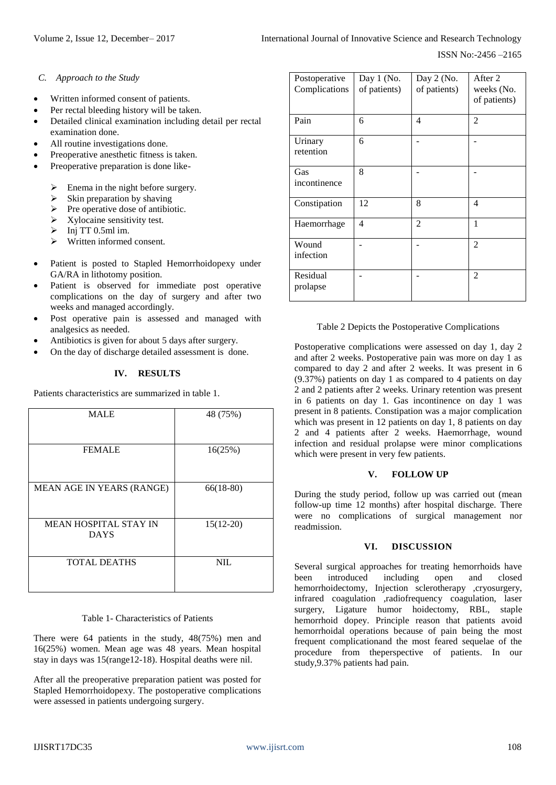- *C. Approach to the Study*
- Written informed consent of patients.
- Per rectal bleeding history will be taken.
- Detailed clinical examination including detail per rectal examination done.
- All routine investigations done.
- Preoperative anesthetic fitness is taken.
- Preoperative preparation is done like-
	- Enema in the night before surgery.
	- $\triangleright$  Skin preparation by shaving
	- $\triangleright$  Pre operative dose of antibiotic.
	- $\triangleright$  Xylocaine sensitivity test.
	- $\triangleright$  Inj TT 0.5ml im.
	- ➢ Written informed consent.
- Patient is posted to Stapled Hemorrhoidopexy under GA/RA in lithotomy position.
- Patient is observed for immediate post operative complications on the day of surgery and after two weeks and managed accordingly.
- Post operative pain is assessed and managed with analgesics as needed.
- Antibiotics is given for about 5 days after surgery.
- On the day of discharge detailed assessment is done.

# **IV. RESULTS**

Patients characteristics are summarized in table 1.

| <b>MALE</b>                                 | 48 (75%)    |
|---------------------------------------------|-------------|
| <b>FEMALE</b>                               | 16(25%)     |
| MEAN AGE IN YEARS (RANGE)                   | $66(18-80)$ |
| <b>MEAN HOSPITAL STAY IN</b><br><b>DAYS</b> | $15(12-20)$ |
| <b>TOTAL DEATHS</b>                         | <b>NIL</b>  |

#### Table 1- Characteristics of Patients

There were 64 patients in the study, 48(75%) men and 16(25%) women. Mean age was 48 years. Mean hospital stay in days was 15(range12-18). Hospital deaths were nil.

After all the preoperative preparation patient was posted for Stapled Hemorrhoidopexy. The postoperative complications were assessed in patients undergoing surgery.

| Postoperative<br>Complications | Day 1 (No.<br>of patients) | Day $2$ (No.<br>of patients) | After 2<br>weeks (No.<br>of patients) |
|--------------------------------|----------------------------|------------------------------|---------------------------------------|
| Pain                           | 6                          | 4                            | $\mathfrak{D}$                        |
| Urinary<br>retention           | 6                          |                              |                                       |
| Gas<br>incontinence            | 8                          |                              |                                       |
| Constipation                   | 12                         | 8                            | 4                                     |
| Haemorrhage                    | 4                          | 2                            | 1                                     |
| Wound<br>infection             |                            |                              | $\overline{2}$                        |
| Residual<br>prolapse           |                            |                              | $\overline{2}$                        |

#### Table 2 Depicts the Postoperative Complications

Postoperative complications were assessed on day 1, day 2 and after 2 weeks. Postoperative pain was more on day 1 as compared to day 2 and after 2 weeks. It was present in 6 (9.37%) patients on day 1 as compared to 4 patients on day 2 and 2 patients after 2 weeks. Urinary retention was present in 6 patients on day 1. Gas incontinence on day 1 was present in 8 patients. Constipation was a major complication which was present in 12 patients on day 1, 8 patients on day 2 and 4 patients after 2 weeks. Haemorrhage, wound infection and residual prolapse were minor complications which were present in very few patients.

## **V. FOLLOW UP**

During the study period, follow up was carried out (mean follow-up time 12 months) after hospital discharge. There were no complications of surgical management nor readmission.

## **VI. DISCUSSION**

Several surgical approaches for treating hemorrhoids have been introduced including open and closed hemorrhoidectomy, Injection sclerotherapy ,cryosurgery, infrared coagulation ,radiofrequency coagulation, laser surgery, Ligature humor hoidectomy, RBL, staple hemorrhoid dopey. Principle reason that patients avoid hemorrhoidal operations because of pain being the most frequent complicationand the most feared sequelae of the procedure from theperspective of patients. In our study,9.37% patients had pain.